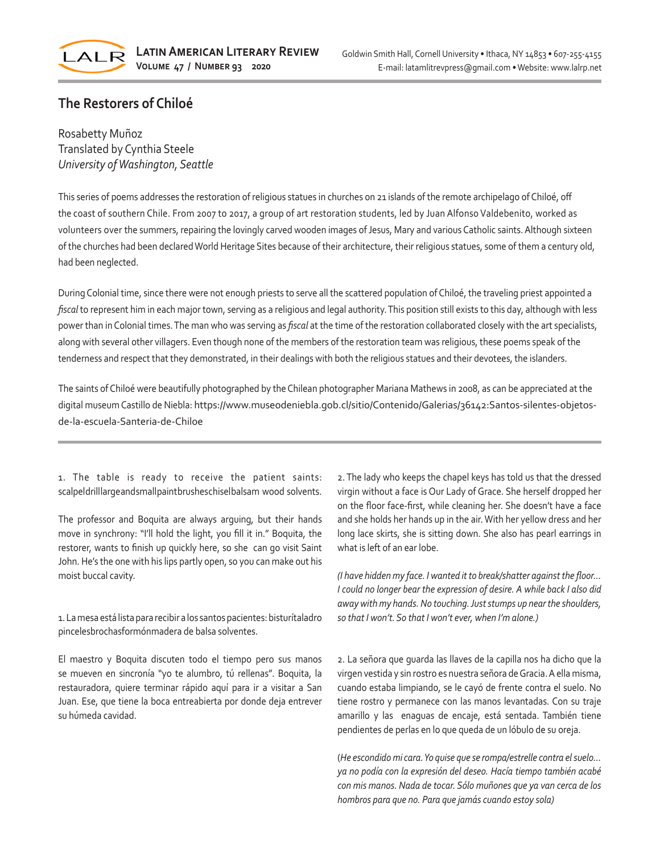

## **The Restorers of Chiloé**

Rosabetty Muñoz Translated by Cynthia Steele *University of Washington, Seattle*

This series of poems addresses the restoration of religious statues in churches on 21 islands of the remote archipelago of Chiloé, off the coast of southern Chile. From 2007 to 2017, a group of art restoration students, led by Juan Alfonso Valdebenito, worked as volunteers over the summers, repairing the lovingly carved wooden images of Jesus, Mary and various Catholic saints. Although sixteen of the churches had been declared World Heritage Sites because of their architecture, their religious statues, some of them a century old, had been neglected.

During Colonial time, since there were not enough priests to serve all the scattered population of Chiloé, the traveling priest appointed a *fiscal* to represent him in each major town, serving as a religious and legal authority. This position still exists to this day, although with less power than in Colonial times. The man who was serving as *fiscal* at the time of the restoration collaborated closely with the art specialists, along with several other villagers. Even though none of the members of the restoration team was religious, these poems speak of the tenderness and respect that they demonstrated, in their dealings with both the religious statues and their devotees, the islanders.

The saints of Chiloé were beautifully photographed by the Chilean photographer Mariana Mathews in 2008, as can be appreciated at the digital museum Castillo de Niebla: https://www.museodeniebla.gob.cl/sitio/Contenido/Galerias/36142:Santos-silentes-objetosde-la-escuela-Santeria-de-Chiloe

1. The table is ready to receive the patient saints: scalpel drill large and small paint brushes chisel balsam wood solvents.

The professor and Boquita are always arguing, but their hands move in synchrony: "I'll hold the light, you fill it in." Boquita, the restorer, wants to finish up quickly here, so she can go visit Saint John. He's the one with his lips partly open, so you can make out his moist buccal cavity.

1. La mesa está lista para recibir a los santos pacientes: bisturítaladro pincelesbrochasformónmadera de balsa solventes.

El maestro y Boquita discuten todo el tiempo pero sus manos se mueven en sincronía "yo te alumbro, tú rellenas". Boquita, la restauradora, quiere terminar rápido aquí para ir a visitar a San Juan. Ese, que tiene la boca entreabierta por donde deja entrever su húmeda cavidad.

2. The lady who keeps the chapel keys has told us that the dressed virgin without a face is Our Lady of Grace. She herself dropped her on the floor face-first, while cleaning her. She doesn't have a face and she holds her hands up in the air. With her yellow dress and her long lace skirts, she is sitting down. She also has pearl earrings in what is left of an ear lobe.

*(I have hidden my face. I wanted it to break/shatter against the floor… I could no longer bear the expression of desire. A while back I also did away with my hands. No touching. Just stumps up near the shoulders, so that I won't. So that I won't ever, when I'm alone.)* 

2. La señora que guarda las llaves de la capilla nos ha dicho que la virgen vestida y sin rostro es nuestra señora de Gracia. A ella misma, cuando estaba limpiando, se le cayó de frente contra el suelo. No tiene rostro y permanece con las manos levantadas. Con su traje amarillo y las enaguas de encaje, está sentada. También tiene pendientes de perlas en lo que queda de un lóbulo de su oreja.

(*He escondido mi cara. Yo quise que se rompa/estrelle contra el suelo… ya no podía con la expresión del deseo. Hacía tiempo también acabé con mis manos. Nada de tocar. Sólo muñones que ya van cerca de los hombros para que no. Para que jamás cuando estoy sola)*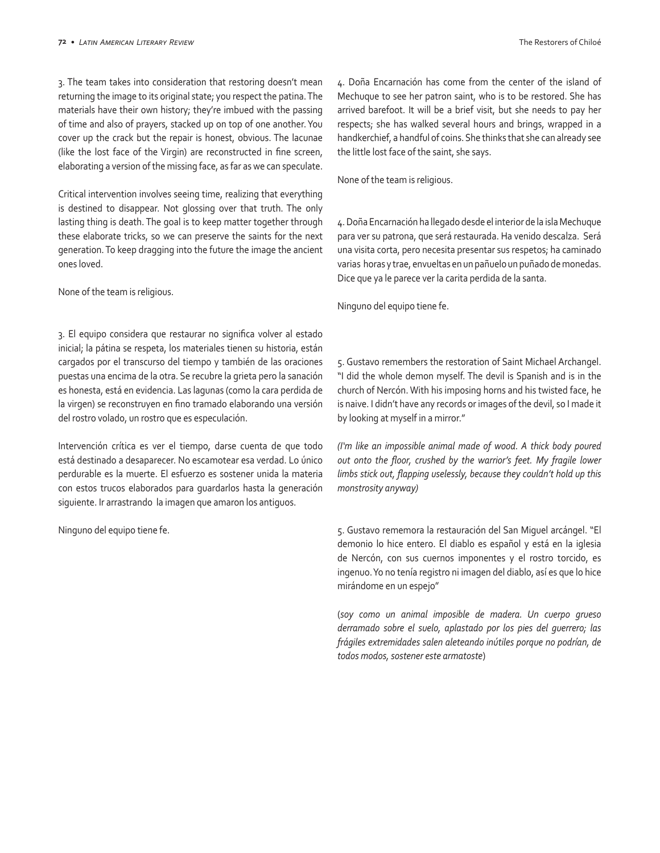3. The team takes into consideration that restoring doesn't mean returning the image to its original state; you respect the patina. The materials have their own history; they're imbued with the passing of time and also of prayers, stacked up on top of one another. You cover up the crack but the repair is honest, obvious. The lacunae (like the lost face of the Virgin) are reconstructed in fine screen, elaborating a version of the missing face, as far as we can speculate.

Critical intervention involves seeing time, realizing that everything is destined to disappear. Not glossing over that truth. The only lasting thing is death. The goal is to keep matter together through these elaborate tricks, so we can preserve the saints for the next generation. To keep dragging into the future the image the ancient ones loved.

None of the team is religious.

3. El equipo considera que restaurar no significa volver al estado inicial; la pátina se respeta, los materiales tienen su historia, están cargados por el transcurso del tiempo y también de las oraciones puestas una encima de la otra. Se recubre la grieta pero la sanación es honesta, está en evidencia. Las lagunas (como la cara perdida de la virgen) se reconstruyen en fino tramado elaborando una versión del rostro volado, un rostro que es especulación.

Intervención crítica es ver el tiempo, darse cuenta de que todo está destinado a desaparecer. No escamotear esa verdad. Lo único perdurable es la muerte. El esfuerzo es sostener unida la materia con estos trucos elaborados para guardarlos hasta la generación siguiente. Ir arrastrando la imagen que amaron los antiguos.

Ninguno del equipo tiene fe.

4. Doña Encarnación has come from the center of the island of Mechuque to see her patron saint, who is to be restored. She has arrived barefoot. It will be a brief visit, but she needs to pay her respects; she has walked several hours and brings, wrapped in a handkerchief, a handful of coins. She thinks that she can already see the little lost face of the saint, she says.

None of the team is religious.

4. Doña Encarnación ha llegado desde el interior de la isla Mechuque para ver su patrona, que será restaurada. Ha venido descalza. Será una visita corta, pero necesita presentar sus respetos; ha caminado varias horas y trae, envueltas en un pañuelo un puñado de monedas. Dice que ya le parece ver la carita perdida de la santa.

Ninguno del equipo tiene fe.

5. Gustavo remembers the restoration of Saint Michael Archangel. "I did the whole demon myself. The devil is Spanish and is in the church of Nercón. With his imposing horns and his twisted face, he is naive. I didn't have any records or images of the devil, so I made it by looking at myself in a mirror."

*(I'm like an impossible animal made of wood. A thick body poured out onto the floor, crushed by the warrior's feet. My fragile lower limbs stick out, flapping uselessly, because they couldn't hold up this monstrosity anyway)*

5. Gustavo rememora la restauración del San Miguel arcángel. "El demonio lo hice entero. El diablo es español y está en la iglesia de Nercón, con sus cuernos imponentes y el rostro torcido, es ingenuo. Yo no tenía registro ni imagen del diablo, así es que lo hice mirándome en un espejo"

(*soy como un animal imposible de madera. Un cuerpo grueso derramado sobre el suelo, aplastado por los pies del guerrero; las frágiles extremidades salen aleteando inútiles porque no podrían, de todos modos, sostener este armatoste*)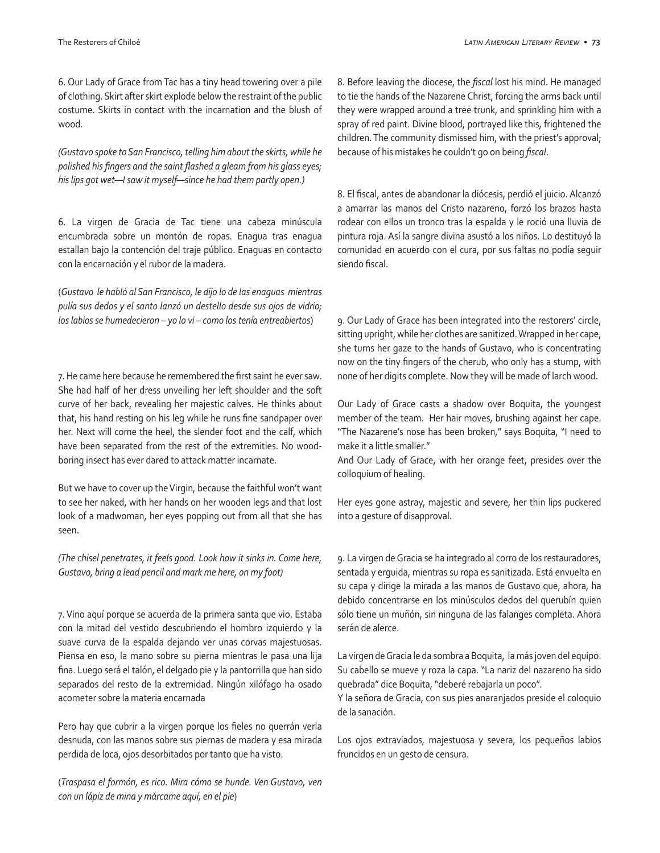The Restorers of Chiloé *Latin American Literary Review* **• 73**

6. Our Lady of Grace from Tac has a tiny head towering over a pile of clothing. Skirt after skirt explode below the restraint of the public costume. Skirts in contact with the incarnation and the blush of wood.

*(Gustavo spoke to San Francisco, telling him about the skirts, while he polished his fingers and the saint flashed a gleam from his glass eyes; his lips got wet—I saw it myself—since he had them partly open.)*

6. La virgen de Gracia de Tac tiene una cabeza minúscula encumbrada sobre un montón de ropas. Enagua tras enagua estallan bajo la contención del traje público. Enaguas en contacto con la encarnación y el rubor de la madera.

(*Gustavo le habló al San Francisco, le dijo lo de las enaguas mientras pulía sus dedos y el santo lanzó un destello desde sus ojos de vidrio; los labios se humedecieron – yo lo vi – como los tenía entreabiertos*)

7. He came here because he remembered the first saint he ever saw. She had half of her dress unveiling her left shoulder and the soft curve of her back, revealing her majestic calves. He thinks about that, his hand resting on his leg while he runs fine sandpaper over her. Next will come the heel, the slender foot and the calf, which have been separated from the rest of the extremities. No woodboring insect has ever dared to attack matter incarnate.

But we have to cover up the Virgin, because the faithful won't want to see her naked, with her hands on her wooden legs and that lost look of a madwoman, her eyes popping out from all that she has seen.

*(The chisel penetrates, it feels good. Look how it sinks in. Come here, Gustavo, bring a lead pencil and mark me here, on my foot)*

7. Vino aquí porque se acuerda de la primera santa que vio. Estaba con la mitad del vestido descubriendo el hombro izquierdo y la suave curva de la espalda dejando ver unas corvas majestuosas. Piensa en eso, la mano sobre su pierna mientras le pasa una lija fina. Luego será el talón, el delgado pie y la pantorrilla que han sido separados del resto de la extremidad. Ningún xilófago ha osado acometer sobre la materia encarnada

Pero hay que cubrir a la virgen porque los fieles no querrán verla desnuda, con las manos sobre sus piernas de madera y esa mirada perdida de loca, ojos desorbitados por tanto que ha visto.

(*Traspasa el formón, es rico. Mira cómo se hunde. Ven Gustavo, ven con un lápiz de mina y márcame aquí, en el pie*)

8. Before leaving the diocese, the *fiscal* lost his mind. He managed to tie the hands of the Nazarene Christ, forcing the arms back until they were wrapped around a tree trunk, and sprinkling him with a spray of red paint. Divine blood, portrayed like this, frightened the children. The community dismissed him, with the priest's approval; because of his mistakes he couldn't go on being *fiscal*.

8. El fiscal, antes de abandonar la diócesis, perdió el juicio. Alcanzó a amarrar las manos del Cristo nazareno, forzó los brazos hasta rodear con ellos un tronco tras la espalda y le roció una lluvia de pintura roja. Así la sangre divina asustó a los niños. Lo destituyó la comunidad en acuerdo con el cura, por sus faltas no podía seguir siendo fiscal.

9. Our Lady of Grace has been integrated into the restorers' circle, sitting upright, while her clothes are sanitized. Wrapped in her cape, she turns her gaze to the hands of Gustavo, who is concentrating now on the tiny fingers of the cherub, who only has a stump, with none of her digits complete. Now they will be made of larch wood.

Our Lady of Grace casts a shadow over Boquita, the youngest member of the team. Her hair moves, brushing against her cape. "The Nazarene's nose has been broken," says Boquita, "I need to make it a little smaller."

And Our Lady of Grace, with her orange feet, presides over the colloquium of healing.

Her eyes gone astray, majestic and severe, her thin lips puckered into a gesture of disapproval.

9. La virgen de Gracia se ha integrado al corro de los restauradores, sentada y erguida, mientras su ropa es sanitizada. Está envuelta en su capa y dirige la mirada a las manos de Gustavo que, ahora, ha debido concentrarse en los minúsculos dedos del querubín quien sólo tiene un muñón, sin ninguna de las falanges completa. Ahora serán de alerce.

La virgen de Gracia le da sombra a Boquita, la más joven del equipo. Su cabello se mueve y roza la capa. "La nariz del nazareno ha sido quebrada" dice Boquita, "deberé rebajarla un poco".

Y la señora de Gracia, con sus pies anaranjados preside el coloquio de la sanación.

Los ojos extraviados, majestuosa y severa, los pequeños labios fruncidos en un gesto de censura.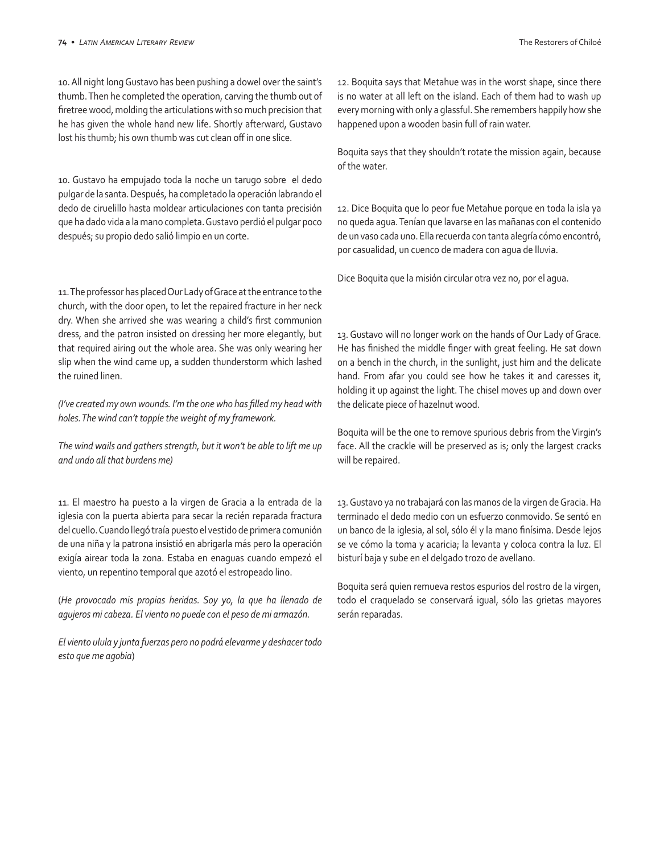10. All night long Gustavo has been pushing a dowel over the saint's thumb. Then he completed the operation, carving the thumb out of firetree wood, molding the articulations with so much precision that he has given the whole hand new life. Shortly afterward, Gustavo lost his thumb; his own thumb was cut clean off in one slice.

10. Gustavo ha empujado toda la noche un tarugo sobre el dedo pulgar de la santa. Después, ha completado la operación labrando el dedo de ciruelillo hasta moldear articulaciones con tanta precisión que ha dado vida a la mano completa. Gustavo perdió el pulgar poco después; su propio dedo salió limpio en un corte.

11. The professor has placed Our Lady of Grace at the entrance to the church, with the door open, to let the repaired fracture in her neck dry. When she arrived she was wearing a child's first communion dress, and the patron insisted on dressing her more elegantly, but that required airing out the whole area. She was only wearing her slip when the wind came up, a sudden thunderstorm which lashed the ruined linen.

*(I've created my own wounds. I'm the one who has filled my head with holes. The wind can't topple the weight of my framework.* 

*The wind wails and gathers strength, but it won't be able to lift me up and undo all that burdens me)*

11. El maestro ha puesto a la virgen de Gracia a la entrada de la iglesia con la puerta abierta para secar la recién reparada fractura del cuello. Cuando llegó traía puesto el vestido de primera comunión de una niña y la patrona insistió en abrigarla más pero la operación exigía airear toda la zona. Estaba en enaguas cuando empezó el viento, un repentino temporal que azotó el estropeado lino.

(*He provocado mis propias heridas. Soy yo, la que ha llenado de agujeros mi cabeza. El viento no puede con el peso de mi armazón.*

*El viento ulula y junta fuerzas pero no podrá elevarme y deshacer todo esto que me agobia*)

12. Boquita says that Metahue was in the worst shape, since there is no water at all left on the island. Each of them had to wash up every morning with only a glassful. She remembers happily how she happened upon a wooden basin full of rain water.

Boquita says that they shouldn't rotate the mission again, because of the water.

12. Dice Boquita que lo peor fue Metahue porque en toda la isla ya no queda agua. Tenían que lavarse en las mañanas con el contenido de un vaso cada uno. Ella recuerda con tanta alegría cómo encontró, por casualidad, un cuenco de madera con agua de lluvia.

Dice Boquita que la misión circular otra vez no, por el agua.

13. Gustavo will no longer work on the hands of Our Lady of Grace. He has finished the middle finger with great feeling. He sat down on a bench in the church, in the sunlight, just him and the delicate hand. From afar you could see how he takes it and caresses it, holding it up against the light. The chisel moves up and down over the delicate piece of hazelnut wood.

Boquita will be the one to remove spurious debris from the Virgin's face. All the crackle will be preserved as is; only the largest cracks will be repaired.

13. Gustavo ya no trabajará con las manos de la virgen de Gracia. Ha terminado el dedo medio con un esfuerzo conmovido. Se sentó en un banco de la iglesia, al sol, sólo él y la mano finísima. Desde lejos se ve cómo la toma y acaricia; la levanta y coloca contra la luz. El bisturí baja y sube en el delgado trozo de avellano.

Boquita será quien remueva restos espurios del rostro de la virgen, todo el craquelado se conservará igual, sólo las grietas mayores serán reparadas.